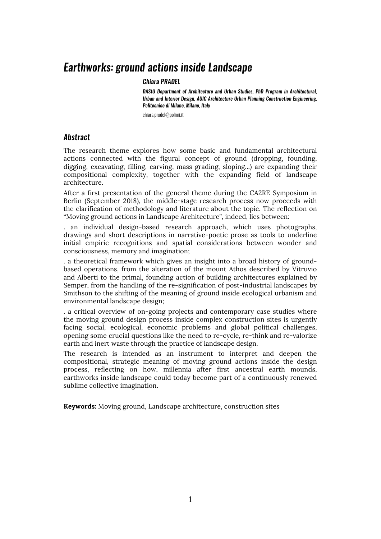# *Earthworks: ground actions inside Landscape*

#### *Chiara PRADEL*

*DAStU Department of Architecture and Urban Studies, PhD Program in Architectural, Urban and Interior Design, AUIC Architecture Urban Planning Construction Engineering, Politecnico di Milano, Milano, Italy*

chiara.pradel@polimi.it

# *Abstract*

The research theme explores how some basic and fundamental architectural actions connected with the figural concept of ground (dropping, founding, digging, excavating, filling, carving, mass grading, sloping...) are expanding their compositional complexity, together with the expanding field of landscape architecture.

After a first presentation of the general theme during the CA2RE Symposium in Berlin (September 2018), the middle-stage research process now proceeds with the clarification of methodology and literature about the topic. The reflection on "Moving ground actions in Landscape Architecture", indeed, lies between:

. an individual design-based research approach, which uses photographs, drawings and short descriptions in narrative-poetic prose as tools to underline initial empiric recognitions and spatial considerations between wonder and consciousness, memory and imagination;

. a theoretical framework which gives an insight into a broad history of groundbased operations, from the alteration of the mount Athos described by Vitruvio and Alberti to the primal, founding action of building architectures explained by Semper, from the handling of the re-signification of post-industrial landscapes by Smithson to the shifting of the meaning of ground inside ecological urbanism and environmental landscape design;

. a critical overview of on-going projects and contemporary case studies where the moving ground design process inside complex construction sites is urgently facing social, ecological, economic problems and global political challenges, opening some crucial questions like the need to re-cycle, re-think and re-valorize earth and inert waste through the practice of landscape design.

The research is intended as an instrument to interpret and deepen the compositional, strategic meaning of moving ground actions inside the design process, reflecting on how, millennia after first ancestral earth mounds, earthworks inside landscape could today become part of a continuously renewed sublime collective imagination.

**Keywords:** Moving ground, Landscape architecture, construction sites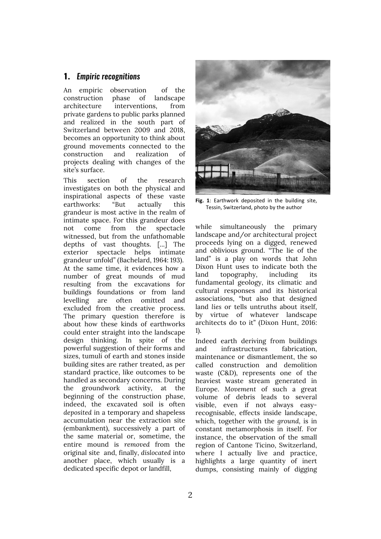# 1. *Empiric recognitions*

An empiric observation of the construction phase of landscape architecture interventions, from private gardens to public parks planned and realized in the south part of Switzerland between 2009 and 2018, becomes an opportunity to think about ground movements connected to the construction and realization of projects dealing with changes of the site's surface.

This section of the research investigates on both the physical and inspirational aspects of these vaste earthworks: "But actually this grandeur is most active in the realm of intimate space. For this grandeur does not come from the spectacle witnessed, but from the unfathomable depths of vast thoughts. [...] The exterior spectacle helps intimate grandeur unfold" (Bachelard, 1964: 193). At the same time, it evidences how a number of great mounds of mud resulting from the excavations for buildings foundations or from land levelling are often omitted and excluded from the creative process. The primary question therefore is about how these kinds of earthworks could enter straight into the landscape design thinking. In spite of the powerful suggestion of their forms and sizes, tumuli of earth and stones inside building sites are rather treated, as per standard practice, like outcomes to be handled as secondary concerns. During the groundwork activity, at the beginning of the construction phase, indeed, the excavated soil is often *deposited* in a temporary and shapeless accumulation near the extraction site (embankment), successively a part of the same material or, sometime, the entire mound is *removed* from the original site and, finally, *dislocated* into another place, which usually is a dedicated specific depot or landfill,



Fig. 1: Earthwork deposited in the building site, Tessin, Switzerland, photo by the author

while simultaneously the primary landscape and/or architectural project proceeds lying on a digged, renewed and oblivious ground. "The lie of the land" is a play on words that John Dixon Hunt uses to indicate both the land topography, including its fundamental geology, its climatic and cultural responses and its historical associations, "but also that designed land *lies* or tells untruths about itself, by virtue of whatever landscape architects do to it" (Dixon Hunt, 2016: 1).

Indeed earth deriving from buildings and infrastructures fabrication, maintenance or dismantlement, the so called construction and demolition waste (C&D), represents one of the heaviest waste stream generated in Europe. *Movement* of such a great volume of debris leads to several visible, even if not always easyrecognisable, effects inside landscape, which, together with the *ground,* is in constant metamorphosis in itself. For instance, the observation of the small region of Cantone Ticino, Switzerland, where I actually live and practice, highlights a large quantity of inert dumps, consisting mainly of digging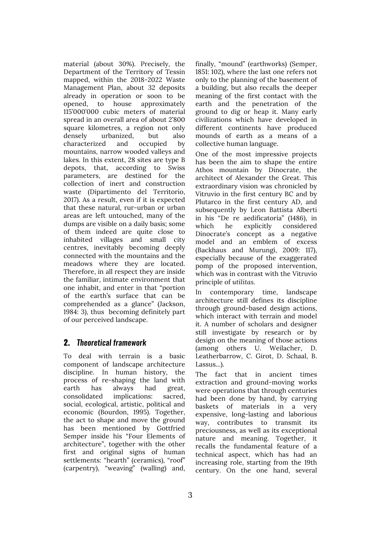material (about 30%). Precisely, the Department of the Territory of Tessin mapped, within the 2018-2022 Waste Management Plan, about 32 deposits already in operation or soon to be opened, to house approximately 115'000'000 cubic meters of material spread in an overall area of about 2'800 square kilometres, a region not only densely urbanized, but also characterized and occupied by mountains, narrow wooded valleys and lakes. In this extent, 28 sites are type B depots, that, according to Swiss parameters, are destined for the collection of inert and construction waste (Dipartimento del Territorio, 2017). As a result, even if it is expected that these natural, rur-urban or urban areas are left untouched, many of the dumps are visible on a daily basis; some of them indeed are quite close to inhabited villages and small city centres, inevitably becoming deeply connected with the mountains and the meadows where they are located. Therefore, in all respect they are inside the familiar, intimate environment that one inhabit, and enter in that "portion of the earth's surface that can be comprehended as a glance" (Jackson, 1984: 3), thus becoming definitely part of our perceived landscape.

# 2. *Theoretical framework*

To deal with terrain is a basic component of landscape architecture discipline. In human history, the process of re-shaping the land with earth has always had great, consolidated implications: sacred, social, ecological, artistic, political and economic (Bourdon, 1995). Together, the act to shape and move the ground has been mentioned by Gottfried Semper inside his "Four Elements of architecture", together with the other first and original signs of human settlements: "hearth" (ceramics), "roof" (carpentry), "weaving" (walling) and,

finally, "mound" (earthworks) (Semper, 1851: 102), where the last one refers not only to the planning of the basement of a building, but also recalls the deeper meaning of the first contact with the earth and the penetration of the ground to dig or heap it. Many early civilizations which have developed in different continents have produced mounds of earth as a means of a collective human language.

One of the most impressive projects has been the aim to shape the entire Athos mountain by Dinocrate, the architect of Alexander the Great. This extraordinary vision was chronicled by Vitruvio in the first century BC and by Plutarco in the first century AD, and subsequently by Leon Battista Alberti in his "De re aedificatoria" (1486), in which he explicitly considered Dinocrate's concept as a negative model and an emblem of excess (Backhaus and Murungi, 2009: 117), especially because of the exaggerated pomp of the proposed intervention, which was in contrast with the Vitruvio principle of *utilitas*.

In contemporary time, landscape architecture still defines its discipline through ground-based design actions, which interact with terrain and model it. A number of scholars and designer still investigate by research or by design on the meaning of those actions (among others U. Weilacher, D. Leatherbarrow, C. Girot, D. Schaal, B. Lassus...).

The fact that in ancient times extraction and ground-moving works were operations that through centuries had been done by hand, by carrying baskets of materials in a very expensive, long-lasting and laborious way, contributes to transmit its preciousness, as well as its exceptional nature and meaning. Together, it recalls the fundamental feature of a technical aspect, which has had an increasing role, starting from the 19th century. On the one hand, several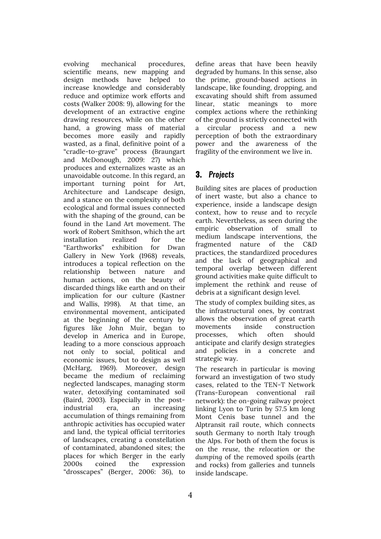evolving mechanical procedures, scientific means, new mapping and design methods have helped to increase knowledge and considerably reduce and optimize work efforts and costs (Walker 2008: 9), allowing for the development of an extractive engine drawing resources, while on the other hand, a growing mass of material becomes more easily and rapidly wasted, as a final, definitive point of a "cradle-to-grave" process (Braungart and McDonough, 2009: 27) which produces and externalizes waste as an unavoidable outcome. In this regard, an important turning point for Art, Architecture and Landscape design, and a stance on the complexity of both ecological and formal issues connected with the shaping of the ground, can be found in the Land Art movement. The work of Robert Smithson, which the art installation realized for the<br>"Earthworks" exhibition for Dwan exhibition for Dwan Gallery in New York (1968) reveals*,*  introduces a topical reflection on the relationship between nature and human actions, on the beauty of discarded things like earth and on their implication for our culture (Kastner and Wallis, 1998). At that time, an environmental movement, anticipated at the beginning of the century by figures like John Muir, began to develop in America and in Europe, leading to a more conscious approach not only to social, political and economic issues, but to design as well (McHarg, 1969). Moreover, design became the medium of reclaiming neglected landscapes, managing storm water, detoxifying contaminated soil (Baird, 2003). Especially in the postindustrial era, an increasing accumulation of things remaining from anthropic activities has occupied water and land, the typical official territories of landscapes, creating a constellation of contaminated, abandoned sites; the places for which Berger in the early 2000s coined the expression "drosscapes" (Berger, 2006: 36), to

define areas that have been heavily degraded by humans. In this sense, also the prime, ground-based actions in landscape, like founding, dropping, and excavating should shift from assumed linear, static meanings to more complex actions where the rethinking of the ground is strictly connected with a circular process and a new perception of both the extraordinary power and the awareness of the fragility of the environment we live in.

# 3. *Projects*

Building sites are places of production of inert waste, but also a chance to experience, inside a landscape design context, how to *reuse* and to *recycle*  earth. Nevertheless, as seen during the empiric observation of small to medium landscape interventions, the fragmented nature of the C&D practices, the standardized procedures and the lack of geographical and temporal overlap between different ground activities make quite difficult to implement the rethink and reuse of debris at a significant design level.

The study of complex building sites, as the infrastructural ones, by contrast allows the observation of great earth movements inside construction processes, which often should anticipate and clarify design strategies and policies in a concrete and strategic way.

The research in particular is moving forward an investigation of two study cases, related to the TEN-T Network (Trans-European conventional rail network): the on-going railway project linking Lyon to Turin by 57.5 km long Mont Cenis base tunnel and the Alptransit rail route, which connects south Germany to north Italy trough the Alps. For both of them the focus is on the *reuse,* the *relocation* or the *dumping* of the removed spoils (earth and rocks) from galleries and tunnels inside landscape.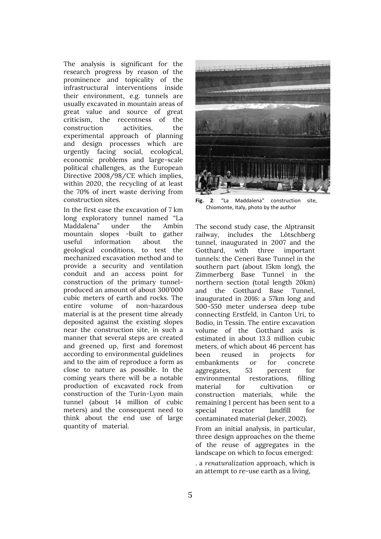The analysis is significant for the research progress by reason of the prominence and topicality of the infrastructural interventions inside their environment, e.g. tunnels are usually excavated in mountain areas of great value and source of great criticism, the recentness of the construction activities, the experimental approach of planning and design processes which are urgently facing social, ecological, economic problems and large-scale political challenges, as the European Directive 2008/98/CE which implies, within 2020, the recycling of at least the 70% of inert waste deriving from construction sites.

In the first case the excavation of 7 km long exploratory tunnel named "La Maddalena" under the Ambin mountain slopes -built to gather useful information about the geological conditions, to test the mechanized excavation method and to provide a security and ventilation conduit and an access point for construction of the primary tunnelproduced an amount of about 300'000 cubic meters of earth and rocks. The entire volume of non-hazardous material is at the present time already deposited against the existing slopes near the construction site, in such a manner that several steps are created and greened up, first and foremost according to environmental guidelines and to the aim of reproduce a form as close to nature as possible. In the coming years there will be a notable production of excavated rock from construction of the Turin-Lyon main tunnel (about 14 million of cubic meters) and the consequent need to think about the end use of large quantity of material.



Fig. 2: "La Maddalena" construction site, Chiomonte, Italy, photo by the author

The second study case, the Alptransit railway, includes the Lötschberg tunnel, inaugurated in 2007 and the Gotthard, with three important tunnels: the Ceneri Base Tunnel in the southern part (about 15km long), the Zimmerberg Base Tunnel in the northern section (total length 20km) and the Gotthard Base Tunnel, inaugurated in 2016: a 57km long and 500-550 meter undersea deep tube connecting Erstfeld, in Canton Uri, to Bodio, in Tessin. The entire excavation volume of the Gotthard axis is estimated in about 13.3 million cubic meters, of which about 46 percent has been reused in projects for embankments or for concrete aggregates, 53 percent for environmental restorations, filling material for cultivation or construction materials, while the remaining 1 percent has been sent to a special reactor landfill for contaminated material (Jeker, 2002).

From an initial analysis, in particular, three design approaches on the theme of the reuse of aggregates in the landscape on which to focus emerged:

. a *renaturalization* approach, which is an attempt to re-use earth as a living,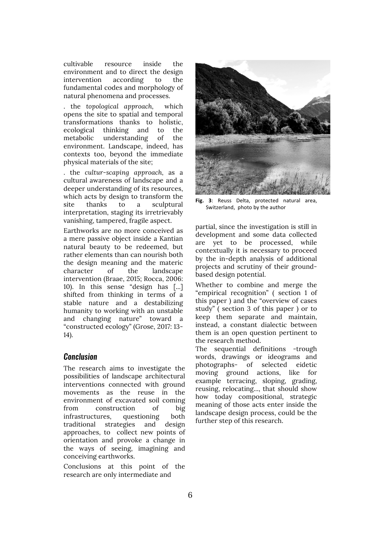cultivable resource inside the environment and to direct the design intervention according to the fundamental codes and morphology of natural phenomena and processes.

. the *topological approach,* which opens the site to spatial and temporal transformations thanks to holistic, ecological thinking and to the metabolic understanding of the environment. Landscape, indeed, has contexts too, beyond the immediate physical materials of the site;

. the *cultur-scaping approach,* as a cultural awareness of landscape and a deeper understanding of its resources, which acts by design to transform the site thanks to a sculptural interpretation, staging its irretrievably vanishing, tampered, fragile aspect.

Earthworks are no more conceived as a mere passive object inside a Kantian natural beauty to be redeemed*,* but rather elements than can nourish both the design meaning and the materic character of the landscape intervention (Braae, 2015; Rocca, 2006: 10). In this sense "design has [...] shifted from thinking in terms of a stable nature and a destabilizing humanity to working with an unstable and changing nature" toward a "constructed ecology" (Grose, 2017: 13- 14).

#### *Conclusion*

The research aims to investigate the possibilities of landscape architectural interventions connected with ground movements as the reuse in the environment of excavated soil coming from construction of big infrastructures, questioning both traditional strategies and design approaches, to collect new points of orientation and provoke a change in the ways of seeing, imagining and conceiving earthworks.

Conclusions at this point of the research are only intermediate and



Fig. 3: Reuss Delta, protected natural area, Switzerland, photo by the author

partial, since the investigation is still in development and some data collected are yet to be processed, while contextually it is necessary to proceed by the in-depth analysis of additional projects and scrutiny of their groundbased design potential.

Whether to combine and merge the "empirical recognition" ( section 1 of this paper ) and the "overview of cases study" ( section 3 of this paper ) or to keep them separate and maintain, instead, a constant dialectic between them is an open question pertinent to the research method.

The sequential definitions -trough words, drawings or ideograms and photographs- of selected eidetic moving ground actions, like for example terracing, sloping, grading, reusing, relocating..., that should show how today compositional, strategic meaning of those acts enter inside the landscape design process, could be the further step of this research.